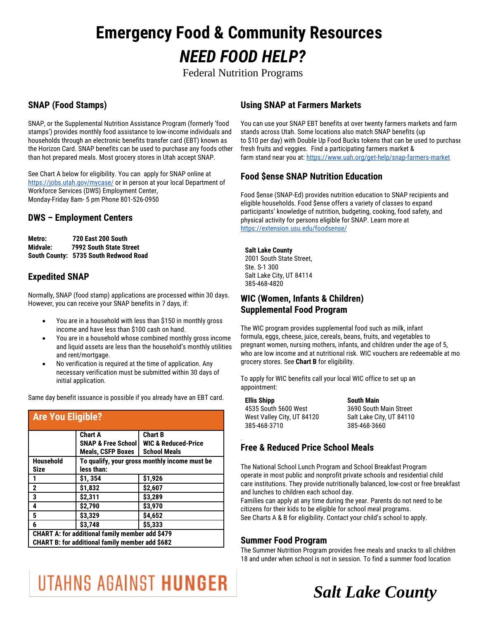# **Emergency Food & Community Resources** *NEED FOOD HELP?*

Federal Nutrition Programs

### **SNAP (Food Stamps)**

SNAP, or the Supplemental Nutrition Assistance Program (formerly 'food stamps') provides monthly food assistance to low-income individuals and households through an electronic benefits transfer card (EBT) known as the Horizon Card. SNAP benefits can be used to purchase any foods other than hot prepared meals. Most grocery stores in Utah accept SNAP.

See Chart A below for eligibility. You can apply for SNAP online at <https://jobs.utah.gov/mycase/> or in person at your local Department of Workforce Services (DWS) Employment Center, Monday-Friday 8am- 5 pm Phone 801-526-0950

#### **DWS – Employment Centers**

| Metro:   | <b>720 East 200 South</b>             |  |
|----------|---------------------------------------|--|
| Midvale: | 7992 South State Street               |  |
|          | South County: 5735 South Redwood Road |  |

#### **Expedited SNAP**

Normally, SNAP (food stamp) applications are processed within 30 days. However, you can receive your SNAP benefits in 7 days, if:

- You are in a household with less than \$150 in monthly gross income and have less than \$100 cash on hand.
- You are in a household whose combined monthly gross income and liquid assets are less than the household's monthly utilities and rent/mortgage.
- No verification is required at the time of application. Any necessary verification must be submitted within 30 days of initial application.

Same day benefit issuance is possible if you already have an EBT card.

| <b>Are You Eligible?</b>                               |                                               |                                |  |
|--------------------------------------------------------|-----------------------------------------------|--------------------------------|--|
|                                                        | <b>Chart A</b>                                | <b>Chart B</b>                 |  |
|                                                        | <b>SNAP &amp; Free School</b>                 | <b>WIC &amp; Reduced-Price</b> |  |
|                                                        | <b>Meals, CSFP Boxes</b>                      | <b>School Meals</b>            |  |
| <b>Household</b>                                       | To qualify, your gross monthly income must be |                                |  |
| <b>Size</b>                                            | less than:                                    |                                |  |
|                                                        | \$1,354                                       | \$1,926                        |  |
| $\overline{\mathbf{2}}$                                | \$1,832                                       | \$2,607                        |  |
| $\overline{\mathbf{3}}$                                | \$2,311                                       | \$3,289                        |  |
| 4                                                      | \$2,790                                       | \$3,970                        |  |
| 5                                                      | \$3,329                                       | \$4,652                        |  |
| 6                                                      | \$3,748                                       | \$5,333                        |  |
| CHART A: for additional family member add \$479        |                                               |                                |  |
| <b>CHART B: for additional family member add \$682</b> |                                               |                                |  |

### **Using SNAP at Farmers Markets**

You can use your SNAP EBT benefits at over twenty farmers markets and farm stands across Utah. Some locations also match SNAP benefits (up to \$10 per day) with Double Up Food Bucks tokens that can be used to purchase fresh fruits and veggies. Find a participating farmers market & farm stand near you at:<https://www.uah.org/get-help/snap-farmers-market>

#### **Food \$ense SNAP Nutrition Education**

Food \$ense (SNAP-Ed) provides nutrition education to SNAP recipients and eligible households. Food \$ense offers a variety of classes to expand participants' knowledge of nutrition, budgeting, cooking, food safety, and physical activity for persons eligible for SNAP. Learn more at <https://extension.usu.edu/foodsense/>

#### **Salt Lake County**

2001 South State Street, Ste. S-1 300 Salt Lake City, UT 84114 385-468-4820

#### **WIC (Women, Infants & Children) Supplemental Food Program**

The WIC program provides supplemental food such as milk, infant formula, eggs, cheese, juice, cereals, beans, fruits, and vegetables to pregnant women, nursing mothers, infants, and children under the age of 5, who are low income and at nutritional risk. WIC vouchers are redeemable at most grocery stores. See **Chart B** for eligibility.

To apply for WIC benefits call your local WIC office to set up an appointment:

| <b>Ellis Shipp</b>         | <b>South Main</b>        |
|----------------------------|--------------------------|
| 4535 South 5600 West       | 3690 South Main Street   |
| West Valley City, UT 84120 | Salt Lake City, UT 84110 |
| 385-468-3710               | 385-468-3660             |

#### **Free & Reduced Price School Meals**

The National School Lunch Program and School Breakfast Program operate in most public and nonprofit private schools and residential child care institutions. They provide nutritionally balanced, low-cost or free breakfast and lunches to children each school day.

Families can apply at any time during the year. Parents do not need to be citizens for their kids to be eligible for school meal programs. See Charts A & B for eligibility. Contact your child's school to apply.

#### **Summer Food Program**

.

The Summer Nutrition Program provides free meals and snacks to all children 18 and under when school is not in session. To find a summer food location

# UTAHNS AGAINST HUNGER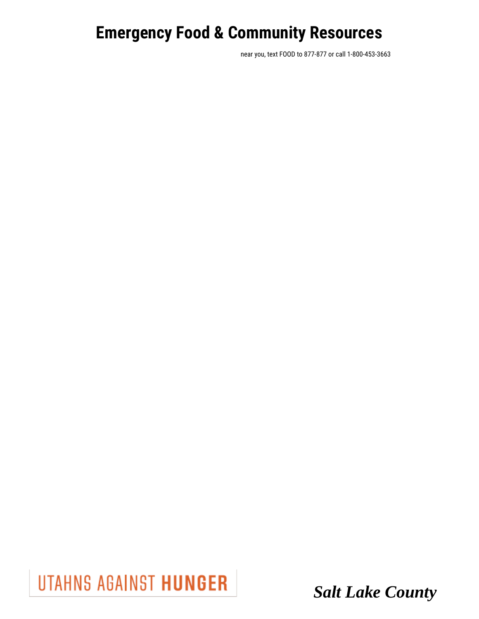near you, text FOOD to 877-877 or call 1-800-453-3663

UTAHNS AGAINST HUNGER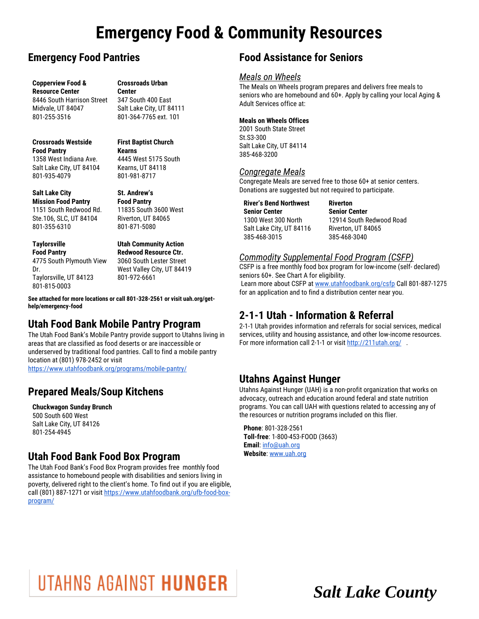### **Emergency Food Pantries**

**Copperview Food & Resource Center** 8446 South Harrison Street

Midvale, UT 84047 801-255-3516

**Crossroads Urban Center** 347 South 400 East

Salt Lake City, UT 84111 801-364-7765 ext. 101

#### **Crossroads Westside Food Pantry**

1358 West Indiana Ave. Salt Lake City, UT 84104 801-935-4079

#### **Salt Lake City**

**Mission Food Pantry** 1151 South Redwood Rd. Ste.106, SLC, UT 84104 801-355-6310

#### **Taylorsville**

**Food Pantry** 4775 South Plymouth View Dr. Taylorsville, UT 84123 801-815-0003

# **First Baptist Church Kearns**

4445 West 5175 South Kearns, UT 84118 801-981-8717

**Food Pantry** 11835 South 3600 West Riverton, UT 84065 801-871-5080

**St. Andrew's** 

**Utah Community Action Redwood Resource Ctr.** 3060 South Lester Street West Valley City, UT 84419 801-972-6661

**See attached for more locations or call 801-328-2561 or visit uah.org/gethelp/emergency-food**

### **Utah Food Bank Mobile Pantry Program**

The Utah Food Bank's Mobile Pantry provide support to Utahns living in areas that are classified as food deserts or are inaccessible or underserved by traditional food pantries. Call to find a mobile pantry location at (801) 978-2452 or visit

<https://www.utahfoodbank.org/programs/mobile-pantry/>

### **Prepared Meals/Soup Kitchens**

#### **Chuckwagon Sunday Brunch**

500 South 600 West Salt Lake City, UT 84126 801-254-4945

### **Utah Food Bank Food Box Program**

The Utah Food Bank's Food Box Program provides free monthly food assistance to homebound people with disabilities and seniors living in poverty, delivered right to the client's home. To find out if you are eligible, call (801) 887-1271 or visi[t https://www.utahfoodbank.org/ufb-food-box](https://www.utahfoodbank.org/ufb-food-box-program/)[program/](https://www.utahfoodbank.org/ufb-food-box-program/)

### **Food Assistance for Seniors**

#### *Meals on Wheels*

The Meals on Wheels program prepares and delivers free meals to seniors who are homebound and 60+. Apply by calling your local Aging & Adult Services office at:

#### **Meals on Wheels Offices**

2001 South State Street St.S3-300 Salt Lake City, UT 84114 385-468-3200

#### *Congregate Meals*

Congregate Meals are served free to those 60+ at senior centers. Donations are suggested but not required to participate.

**Riverton**

**River's Bend Northwest Senior Center** 1300 West 300 North Salt Lake City, UT 84116 385-468-3015

**Senior Center** 12914 South Redwood Road Riverton, UT 84065 385-468-3040

#### *Commodity Supplemental Food Program (CSFP)*

CSFP is a free monthly food box program for low-income (self- declared) seniors 60+. See Chart A for eligibility. Learn more about CSFP at [www.utahfoodbank.org/csfp](http://www.utahfoodbank.org/csfp) Call 801-887-1275 for an application and to find a distribution center near you.

### **2-1-1 Utah - Information & Referral**

2-1-1 Utah provides information and referrals for social services, medical services, utility and housing assistance, and other low-income resources. For more information call 2-1-1 or visit http://211utah.org/.

### **Utahns Against Hunger**

Utahns Against Hunger (UAH) is a non-profit organization that works on advocacy, outreach and education around federal and state nutrition programs. You can call UAH with questions related to accessing any of the resources or nutrition programs included on this flier.

**Phone**: 801-328-2561 **Toll-free**: 1-800-453-FOOD (3663) **Email**[: info@uah.org](mailto:info@uah.org) **Website**[: www.uah.org](http://www.uah.org/)

# UTAHNS AGAINST HUNGER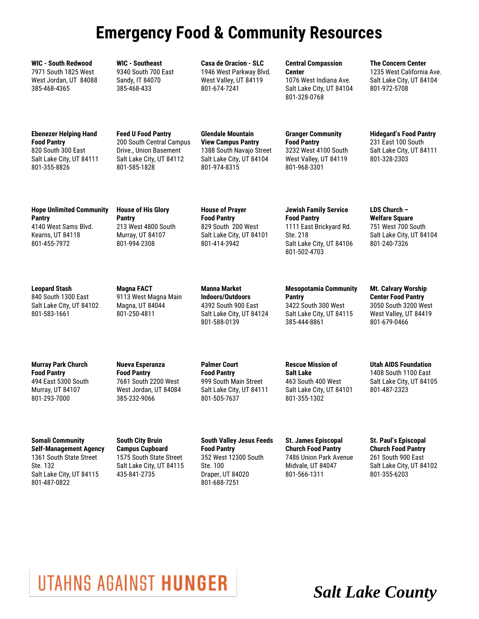**WIC - South Redwood** 7971 South 1825 West West Jordan, UT 84088 385-468-4365

**WIC - Southeast** 9340 South 700 East Sandy, IT 84070 385-468-433

**Casa de Oracion - SLC** 1946 West Parkway Blvd. West Valley, UT 84119 801-674-7241

#### **Central Compassion**

**Center** 1076 West Indiana Ave. Salt Lake City, UT 84104 801-328-0768

**The Concern Center** 1235 West California Ave. Salt Lake City, UT 84104 801-972-5708

**Ebenezer Helping Hand Food Pantry** 820 South 300 East Salt Lake City, UT 84111 801-355-8826

**Feed U Food Pantry**  200 South Central Campus Drive., Union Basement Salt Lake City, UT 84112 801-585-1828

**Glendale Mountain View Campus Pantry** 1388 South Navajo Street Salt Lake City, UT 84104 801-974-8315

#### **Granger Community Food Pantry** 3232 West 4100 South West Valley, UT 84119

801-968-3301

231 East 100 South

Salt Lake City, UT 84111 801-328-2303

**Hidegard's Food Pantry**

**Hope Unlimited Community Pantry** 4140 West Sams Blvd. Kearns, UT 84118 801-455-7972

**House of His Glory Pantry** 213 West 4800 South Murray, UT 84107 801-994-2308

**House of Prayer Food Pantry** 829 South 200 West Salt Lake City, UT 84101 801-414-3942

**Jewish Family Service Food Pantry** 1111 East Brickyard Rd. Ste. 218 Salt Lake City, UT 84106 801-502-4703

**LDS Church – Welfare Square** 751 West 700 South Salt Lake City, UT 84104 801-240-7326

**Leopard Stash** 840 South 1300 East Salt Lake City, UT 84102 801-583-1661

**Magna FACT** 9113 West Magna Main Magna, UT 84044 801-250-4811

**Manna Market Indoors/Outdoors** 4392 South 900 East Salt Lake City, UT 84124 801-588-0139

**Mesopotamia Community Pantry** 3422 South 300 West Salt Lake City, UT 84115 385-444-8861

**Mt. Calvary Worship Center Food Pantry** 3050 South 3200 West West Valley, UT 84419 801-679-0466

**Murray Park Church Food Pantry** 494 East 5300 South Murray, UT 84107 801-293-7000

**Nueva Esperanza Food Pantry** 7681 South 2200 West West Jordan, UT 84084 385-232-9066

**Palmer Court Food Pantry** 999 South Main Street Salt Lake City, UT 84111 801-505-7637

**Rescue Mission of Salt Lake** 463 South 400 West Salt Lake City, UT 84101 801-355-1302

**Utah AIDS Foundation** 1408 South 1100 East Salt Lake City, UT 84105 801-487-2323

**Somali Community Self-Management Agency** 1361 South State Street Ste. 132 Salt Lake City, UT 84115 801-487-0822

**South City Bruin Campus Cupboard** 1575 South State Street Salt Lake City, UT 84115 435-841-2735

**South Valley Jesus Feeds Food Pantry** 352 West 12300 South Ste. 100 Draper, UT 84020 801-688-7251

**St. James Episcopal Church Food Pantry** 7486 Union Park Avenue Midvale, UT 84047 801-566-1311

**St. Paul's Episcopal Church Food Pantry** 261 South 900 East Salt Lake City, UT 84102 801-355-6203

# UTAHNS AGAINST HUNGER